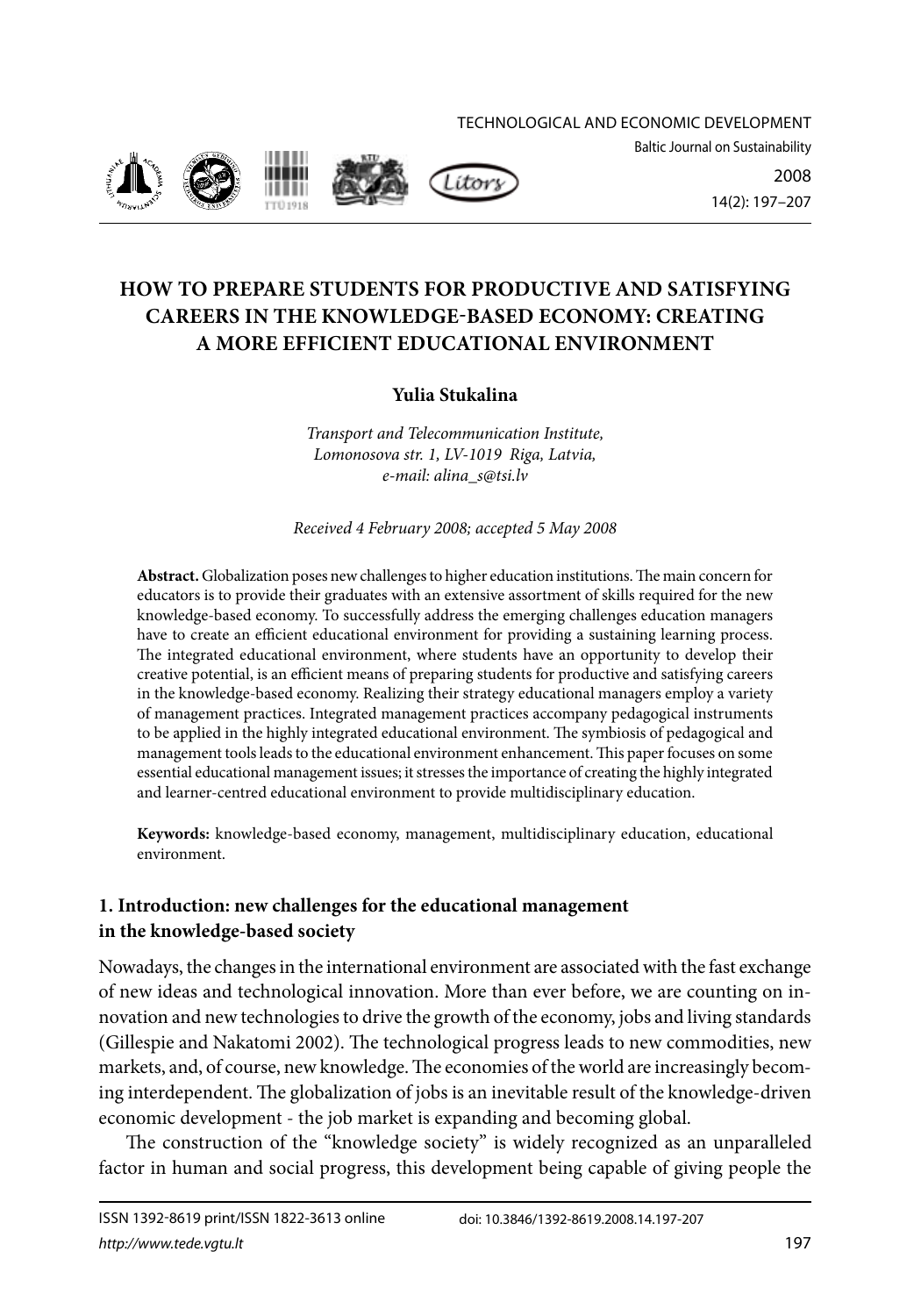Technological and economic development



Baltic Journal on Sustainability

2008 14(2): 197–207

# **HOW TO PREPARE STUDENTS FOR PRODUCTIVE AND SATISFYING CAREERS IN THE KNOWLEDGE-BASED ECONOMY: CREATING A MORE EFFICIENT EDUCATIONAL ENVIRONMENT**

## **Yulia Stukalina**

*Transport and Telecommunication Institute, Lomonosova str. 1, LV-1019 Riga, Latvia, e-mail: alina\_s@tsi.lv*

*Received 4 February 2008; accepted 5 May 2008*

**Abstract.** Globalization poses new challenges to higher education institutions. The main concern for educators is to provide their graduates with an extensive assortment of skills required for the new knowledge-based economy. To successfully address the emerging challenges education managers have to create an efficient educational environment for providing a sustaining learning process. The integrated educational environment, where students have an opportunity to develop their creative potential, is an efficient means of preparing students for productive and satisfying careers in the knowledge-based economy. Realizing their strategy educational managers employ a variety of management practices. Integrated management practices accompany pedagogical instruments to be applied in the highly integrated educational environment. The symbiosis of pedagogical and management tools leads to the educational environment enhancement. This paper focuses on some essential educational management issues; it stresses the importance of creating the highly integrated and learner-centred educational environment to provide multidisciplinary education.

**Keywords:** knowledge-based economy, management, multidisciplinary education, educational environment.

## **1. Introduction: new challenges for the educational management in the knowledge-based society**

Nowadays, the changes in the international environment are associated with the fast exchange of new ideas and technological innovation. More than ever before, we are counting on innovation and new technologies to drive the growth of the economy, jobs and living standards (Gillespie and Nakatomi 2002). The technological progress leads to new commodities, new markets, and, of course, new knowledge. The economies of the world are increasingly becoming interdependent. The globalization of jobs is an inevitable result of the knowledge-driven economic development - the job market is expanding and becoming global.

The construction of the "knowledge society" is widely recognized as an unparalleled factor in human and social progress, this development being capable of giving people the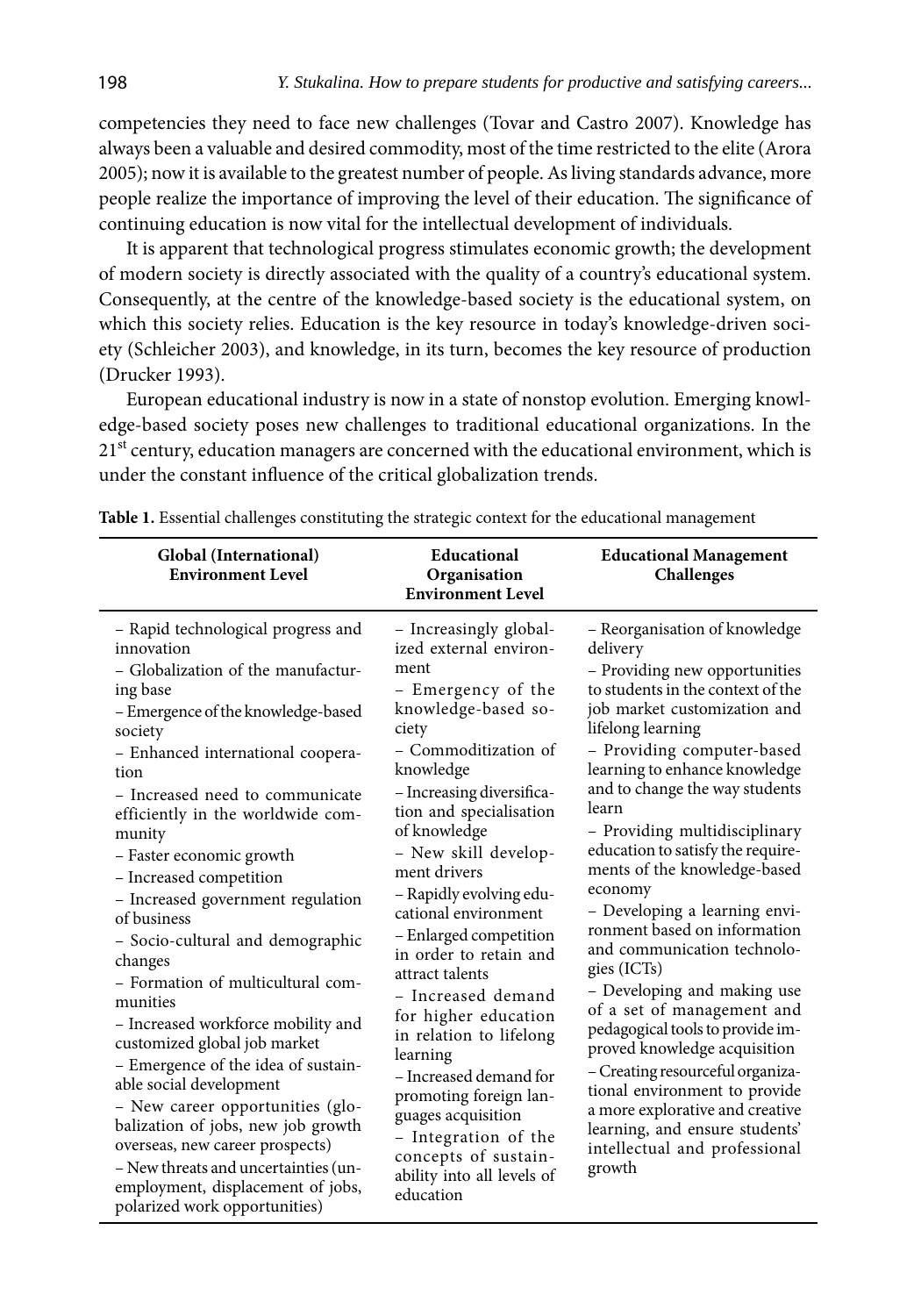competencies they need to face new challenges (Tovar and Castro 2007). Knowledge has always been a valuable and desired commodity, most of the time restricted to the elite (Arora 2005); now it is available to the greatest number of people. As living standards advance, more people realize the importance of improving the level of their education. The significance of continuing education is now vital for the intellectual development of individuals.

It is apparent that technological progress stimulates economic growth; the development of modern society is directly associated with the quality of a country's educational system. Consequently, at the centre of the knowledge-based society is the educational system, on which this society relies. Education is the key resource in today's knowledge-driven society (Schleicher 2003), and knowledge, in its turn, becomes the key resource of production (Drucker 1993).

European educational industry is now in a state of nonstop evolution. Emerging knowledge-based society poses new challenges to traditional educational organizations. In the 21<sup>st</sup> century, education managers are concerned with the educational environment, which is under the constant influence of the critical globalization trends.

| Global (International)<br><b>Environment Level</b>                                                                                                                                                                                                                                                                                                                                                                                                                                                                                                                                                                                                                                                                                                                                                                                                               | Educational<br>Organisation<br><b>Environment Level</b>                                                                                                                                                                                                                                                                                                                                                                                                                                                                                                                                                                                                 | <b>Educational Management</b><br>Challenges                                                                                                                                                                                                                                                                                                                                                                                                                                                                                                                                                                                                                                                                                                                                                                                          |
|------------------------------------------------------------------------------------------------------------------------------------------------------------------------------------------------------------------------------------------------------------------------------------------------------------------------------------------------------------------------------------------------------------------------------------------------------------------------------------------------------------------------------------------------------------------------------------------------------------------------------------------------------------------------------------------------------------------------------------------------------------------------------------------------------------------------------------------------------------------|---------------------------------------------------------------------------------------------------------------------------------------------------------------------------------------------------------------------------------------------------------------------------------------------------------------------------------------------------------------------------------------------------------------------------------------------------------------------------------------------------------------------------------------------------------------------------------------------------------------------------------------------------------|--------------------------------------------------------------------------------------------------------------------------------------------------------------------------------------------------------------------------------------------------------------------------------------------------------------------------------------------------------------------------------------------------------------------------------------------------------------------------------------------------------------------------------------------------------------------------------------------------------------------------------------------------------------------------------------------------------------------------------------------------------------------------------------------------------------------------------------|
| - Rapid technological progress and<br>innovation<br>- Globalization of the manufactur-<br>ing base<br>- Emergence of the knowledge-based<br>society<br>- Enhanced international coopera-<br>tion<br>- Increased need to communicate<br>efficiently in the worldwide com-<br>munity<br>- Faster economic growth<br>- Increased competition<br>- Increased government regulation<br>of business<br>- Socio-cultural and demographic<br>changes<br>- Formation of multicultural com-<br>munities<br>- Increased workforce mobility and<br>customized global job market<br>- Emergence of the idea of sustain-<br>able social development<br>- New career opportunities (glo-<br>balization of jobs, new job growth<br>overseas, new career prospects)<br>- New threats and uncertainties (un-<br>employment, displacement of jobs,<br>polarized work opportunities) | - Increasingly global-<br>ized external environ-<br>ment<br>– Emergency of the<br>knowledge-based so-<br>ciety<br>- Commoditization of<br>knowledge<br>- Increasing diversifica-<br>tion and specialisation<br>of knowledge<br>- New skill develop-<br>ment drivers<br>- Rapidly evolving edu-<br>cational environment<br>- Enlarged competition<br>in order to retain and<br>attract talents<br>- Increased demand<br>for higher education<br>in relation to lifelong<br>learning<br>- Increased demand for<br>promoting foreign lan-<br>guages acquisition<br>- Integration of the<br>concepts of sustain-<br>ability into all levels of<br>education | - Reorganisation of knowledge<br>delivery<br>- Providing new opportunities<br>to students in the context of the<br>job market customization and<br>lifelong learning<br>- Providing computer-based<br>learning to enhance knowledge<br>and to change the way students<br>learn<br>- Providing multidisciplinary<br>education to satisfy the require-<br>ments of the knowledge-based<br>economy<br>- Developing a learning envi-<br>ronment based on information<br>and communication technolo-<br>gies (ICTs)<br>- Developing and making use<br>of a set of management and<br>pedagogical tools to provide im-<br>proved knowledge acquisition<br>- Creating resourceful organiza-<br>tional environment to provide<br>a more explorative and creative<br>learning, and ensure students'<br>intellectual and professional<br>growth |

**Table 1.** Essential challenges constituting the strategic context for the educational management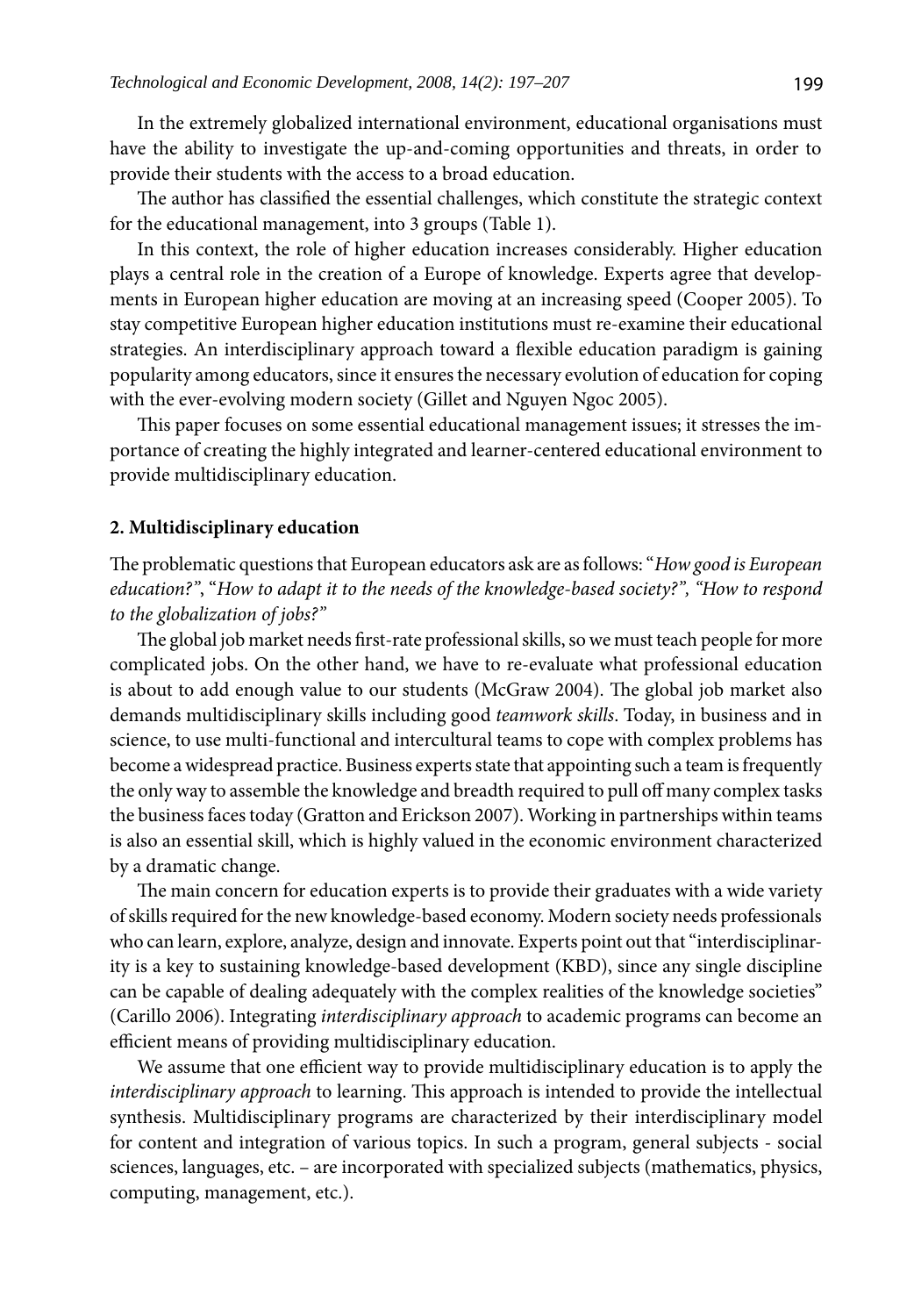In the extremely globalized international environment, educational organisations must have the ability to investigate the up-and-coming opportunities and threats, in order to provide their students with the access to a broad education.

The author has classified the essential challenges, which constitute the strategic context for the educational management, into 3 groups (Table 1).

In this context, the role of higher education increases considerably. Higher education plays a central role in the creation of a Europe of knowledge. Experts agree that developments in European higher education are moving at an increasing speed (Cooper 2005). To stay competitive European higher education institutions must re-examine their educational strategies. An interdisciplinary approach toward a flexible education paradigm is gaining popularity among educators, since it ensures the necessary evolution of education for coping with the ever-evolving modern society (Gillet and Nguyen Ngoc 2005).

This paper focuses on some essential educational management issues; it stresses the importance of creating the highly integrated and learner-centered educational environment to provide multidisciplinary education.

#### **2. Multidisciplinary education**

The problematic questions that European educators ask are as follows: "*How good is European education?"*, "*How to adapt it to the needs of the knowledge-based society?", "How to respond to the globalization of jobs?"* 

The global job market needs first-rate professional skills, so we must teach people for more complicated jobs. On the other hand, we have to re-evaluate what professional education is about to add enough value to our students (McGraw 2004). The global job market also demands multidisciplinary skills including good *teamwork skills*. Today, in business and in science, to use multi-functional and intercultural teams to cope with complex problems has become a widespread practice. Business experts state that appointing such a team is frequently the only way to assemble the knowledge and breadth required to pull off many complex tasks the business faces today (Gratton and Erickson 2007). Working in partnerships within teams is also an essential skill, which is highly valued in the economic environment characterized by a dramatic change.

The main concern for education experts is to provide their graduates with a wide variety of skills required for the new knowledge-based economy. Modern society needs professionals who can learn, explore, analyze, design and innovate. Experts point out that "interdisciplinarity is a key to sustaining knowledge-based development (KBD), since any single discipline can be capable of dealing adequately with the complex realities of the knowledge societies" (Carillo 2006). Integrating *interdisciplinary approach* to academic programs can become an efficient means of providing multidisciplinary education.

We assume that one efficient way to provide multidisciplinary education is to apply the *interdisciplinary approach* to learning. This approach is intended to provide the intellectual synthesis. Multidisciplinary programs are characterized by their interdisciplinary model for content and integration of various topics. In such a program, general subjects - social sciences, languages, etc. – are incorporated with specialized subjects (mathematics, physics, computing, management, etc.).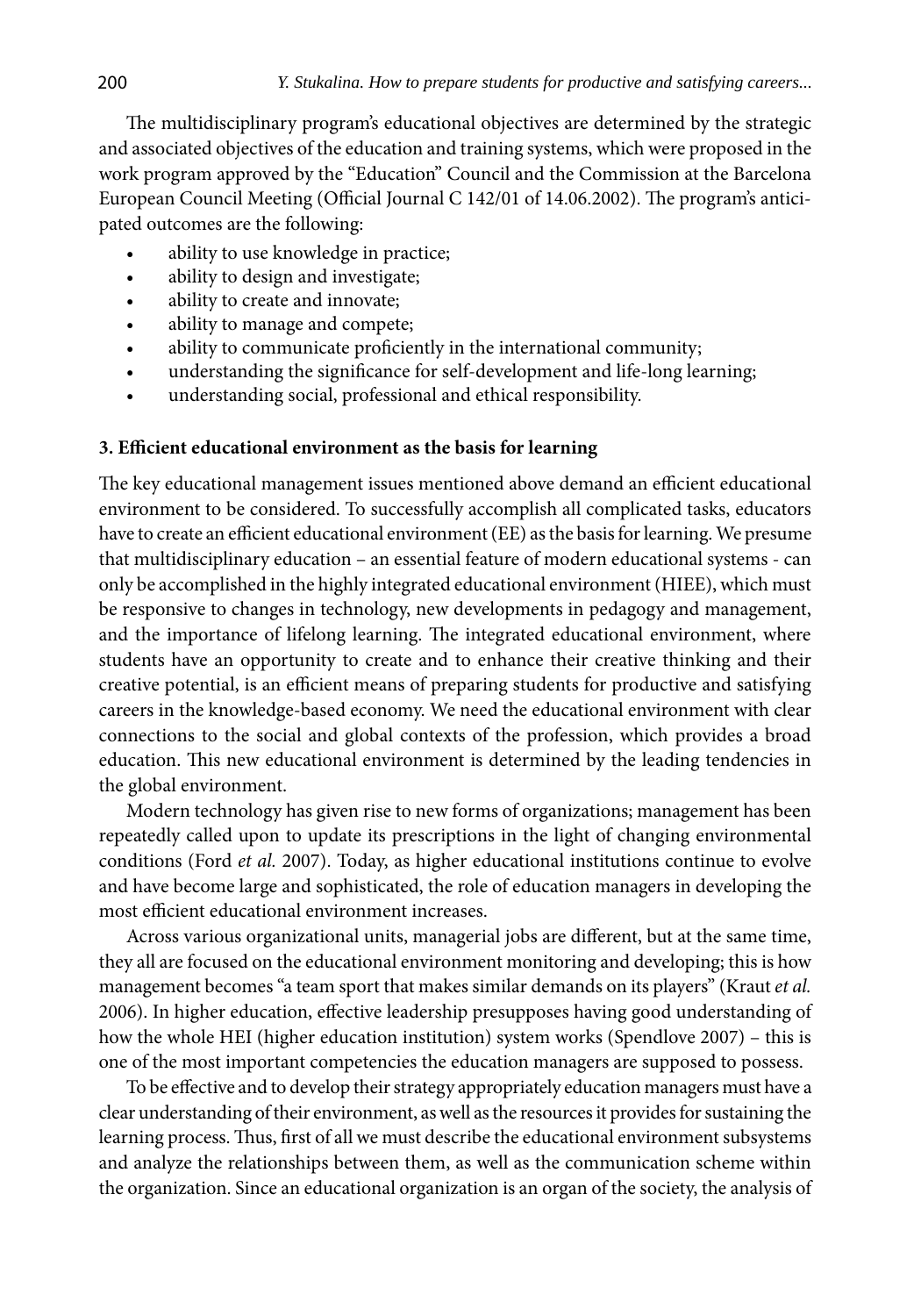The multidisciplinary program's educational objectives are determined by the strategic and associated objectives of the education and training systems, which were proposed in the work program approved by the "Education" Council and the Commission at the Barcelona European Council Meeting (Official Journal C 142/01 of 14.06.2002). The program's anticipated outcomes are the following:

- ability to use knowledge in practice;
- ability to design and investigate;
- ability to create and innovate;
- ability to manage and compete;
- ability to communicate proficiently in the international community;
- understanding the significance for self-development and life-long learning;
- understanding social, professional and ethical responsibility.

### **3. Efficient educational environment as the basis for learning**

The key educational management issues mentioned above demand an efficient educational environment to be considered. To successfully accomplish all complicated tasks, educators have to create an efficient educational environment (EE) as the basis for learning. We presume that multidisciplinary education – an essential feature of modern educational systems - can only be accomplished in the highly integrated educational environment (HIEE), which must be responsive to changes in technology, new developments in pedagogy and management, and the importance of lifelong learning. The integrated educational environment, where students have an opportunity to create and to enhance their creative thinking and their creative potential, is an efficient means of preparing students for productive and satisfying careers in the knowledge-based economy. We need the educational environment with clear connections to the social and global contexts of the profession, which provides a broad education. This new educational environment is determined by the leading tendencies in the global environment.

Modern technology has given rise to new forms of organizations; management has been repeatedly called upon to update its prescriptions in the light of changing environmental conditions (Ford *et al.* 2007). Today, as higher educational institutions continue to evolve and have become large and sophisticated, the role of education managers in developing the most efficient educational environment increases.

Across various organizational units, managerial jobs are different, but at the same time, they all are focused on the educational environment monitoring and developing; this is how management becomes "a team sport that makes similar demands on its players" (Kraut *et al.* 2006). In higher education, effective leadership presupposes having good understanding of how the whole HEI (higher education institution) system works (Spendlove 2007) – this is one of the most important competencies the education managers are supposed to possess.

To be effective and to develop their strategy appropriately education managers must have a clear understanding of their environment, as well as the resources it provides for sustaining the learning process. Thus, first of all we must describe the educational environment subsystems and analyze the relationships between them, as well as the communication scheme within the organization. Since an educational organization is an organ of the society, the analysis of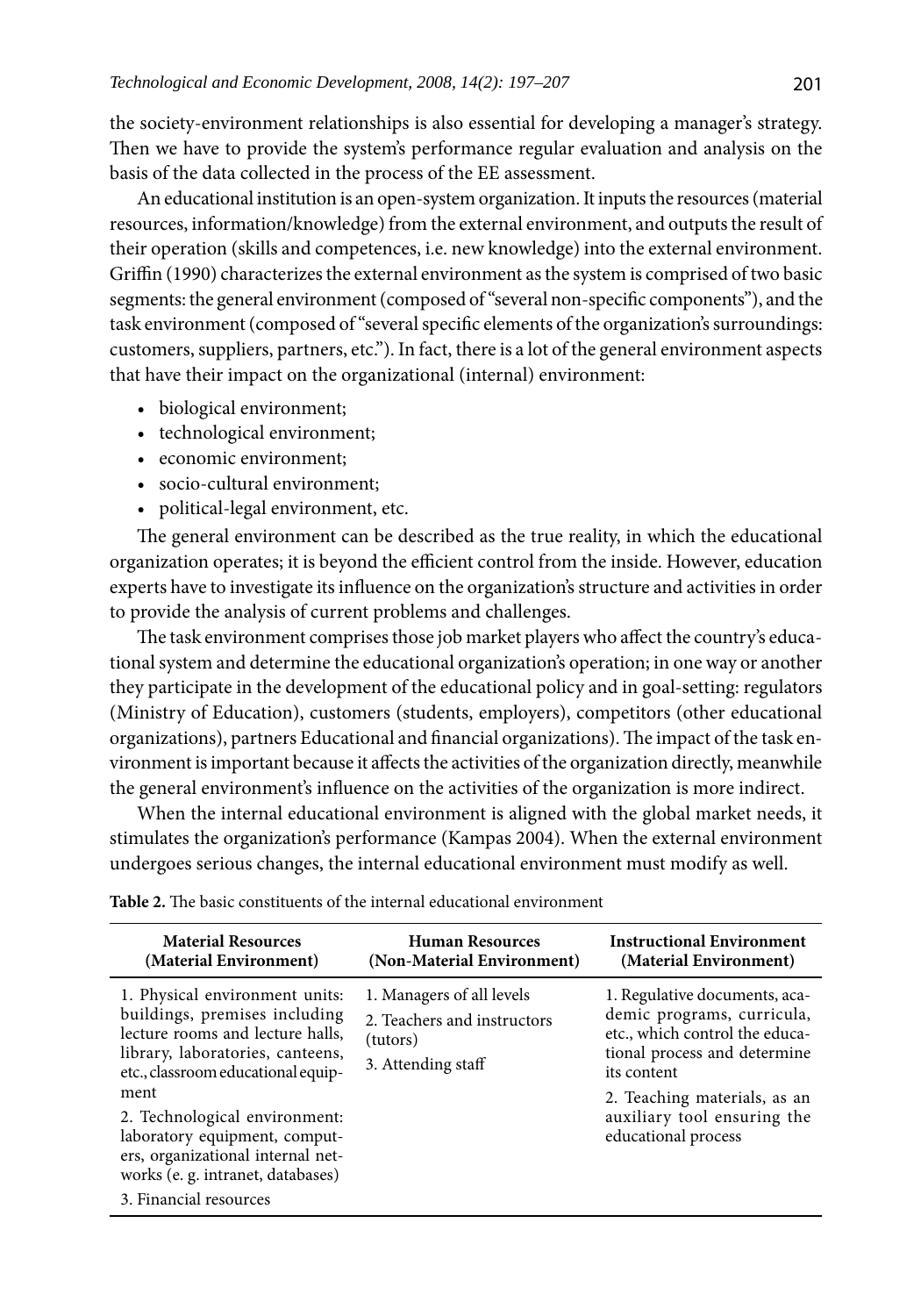the society-environment relationships is also essential for developing a manager's strategy. Then we have to provide the system's performance regular evaluation and analysis on the basis of the data collected in the process of the EE assessment.

An educational institution is an open-system organization. It inputs the resources (material resources, information/knowledge) from the external environment, and outputs the result of their operation (skills and competences, i.e. new knowledge) into the external environment. Griffin (1990) characterizes the external environment as the system is comprised of two basic segments: the general environment (composed of "several non-specific components"), and the task environment (composed of "several specific elements of the organization's surroundings: customers, suppliers, partners, etc."). In fact, there is a lot of the general environment aspects that have their impact on the organizational (internal) environment:

- biological environment;
- technological environment;
- economic environment;
- socio-cultural environment:
- political-legal environment, etc.

The general environment can be described as the true reality, in which the educational organization operates; it is beyond the efficient control from the inside. However, education experts have to investigate its influence on the organization's structure and activities in order to provide the analysis of current problems and challenges.

The task environment comprises those job market players who affect the country's educational system and determine the educational organization's operation; in one way or another they participate in the development of the educational policy and in goal-setting: regulators (Ministry of Education), customers (students, employers), competitors (other educational organizations), partners Educational and financial organizations). The impact of the task environment is important because it affects the activities of the organization directly, meanwhile the general environment's influence on the activities of the organization is more indirect.

When the internal educational environment is aligned with the global market needs, it stimulates the organization's performance (Kampas 2004). When the external environment undergoes serious changes, the internal educational environment must modify as well.

| <b>Material Resources</b>                                                                                                                                                                                                                                                                                                                                   | <b>Human Resources</b>                                                                     | <b>Instructional Environment</b>                                                                                                                                                                                                   |
|-------------------------------------------------------------------------------------------------------------------------------------------------------------------------------------------------------------------------------------------------------------------------------------------------------------------------------------------------------------|--------------------------------------------------------------------------------------------|------------------------------------------------------------------------------------------------------------------------------------------------------------------------------------------------------------------------------------|
| (Material Environment)                                                                                                                                                                                                                                                                                                                                      | (Non-Material Environment)                                                                 | (Material Environment)                                                                                                                                                                                                             |
| 1. Physical environment units:<br>buildings, premises including<br>lecture rooms and lecture halls,<br>library, laboratories, canteens,<br>etc., classroom educational equip-<br>ment<br>2. Technological environment:<br>laboratory equipment, comput-<br>ers, organizational internal net-<br>works (e. g. intranet, databases)<br>3. Financial resources | 1. Managers of all levels<br>2. Teachers and instructors<br>(tutors)<br>3. Attending staff | 1. Regulative documents, aca-<br>demic programs, curricula,<br>etc., which control the educa-<br>tional process and determine<br>its content<br>2. Teaching materials, as an<br>auxiliary tool ensuring the<br>educational process |

**Table 2.** The basic constituents of the internal educational environment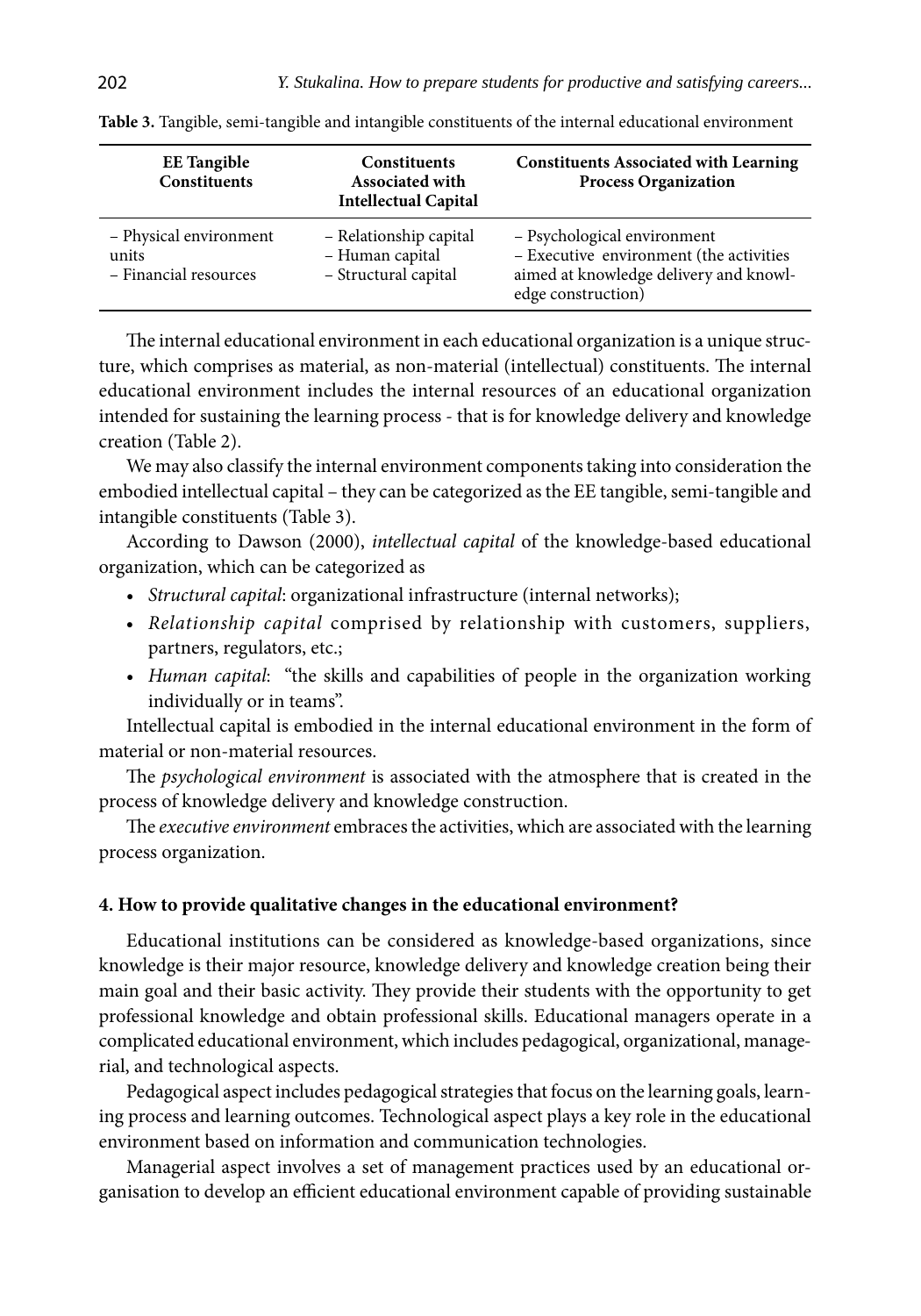| <b>EE</b> Tangible<br><b>Constituents</b>                | <b>Constituents</b><br><b>Associated with</b><br><b>Intellectual Capital</b> | <b>Constituents Associated with Learning</b><br><b>Process Organization</b>                                                            |
|----------------------------------------------------------|------------------------------------------------------------------------------|----------------------------------------------------------------------------------------------------------------------------------------|
| - Physical environment<br>units<br>- Financial resources | - Relationship capital<br>- Human capital<br>- Structural capital            | - Psychological environment<br>- Executive environment (the activities<br>aimed at knowledge delivery and knowl-<br>edge construction) |

**Table 3.** Tangible, semi-tangible and intangible constituents of the internal educational environment

The internal educational environment in each educational organization is a unique structure, which comprises as material, as non-material (intellectual) constituents. The internal educational environment includes the internal resources of an educational organization intended for sustaining the learning process - that is for knowledge delivery and knowledge creation (Table 2).

We may also classify the internal environment components taking into consideration the embodied intellectual capital – they can be categorized as the EE tangible, semi-tangible and intangible constituents (Table 3).

According to Dawson (2000), *intellectual capital* of the knowledge-based educational organization, which can be categorized as

- *Structural capital*: organizational infrastructure (internal networks);
- *Relationship capital* comprised by relationship with customers, suppliers, partners, regulators, etc.;
- *Human capital*: "the skills and capabilities of people in the organization working individually or in teams".

Intellectual capital is embodied in the internal educational environment in the form of material or non-material resources.

The *psychological environment* is associated with the atmosphere that is created in the process of knowledge delivery and knowledge construction.

The *executive environment* embraces the activities, which are associated with the learning process organization.

#### **4. How to provide qualitative changes in the educational environment?**

Educational institutions can be considered as knowledge-based organizations, since knowledge is their major resource, knowledge delivery and knowledge creation being their main goal and their basic activity. They provide their students with the opportunity to get professional knowledge and obtain professional skills. Educational managers operate in a complicated educational environment, which includes pedagogical, organizational, managerial, and technological aspects.

Pedagogical aspect includes pedagogical strategies that focus on the learning goals, learning process and learning outcomes. Technological aspect plays a key role in the educational environment based on information and communication technologies.

Managerial aspect involves a set of management practices used by an educational organisation to develop an efficient educational environment capable of providing sustainable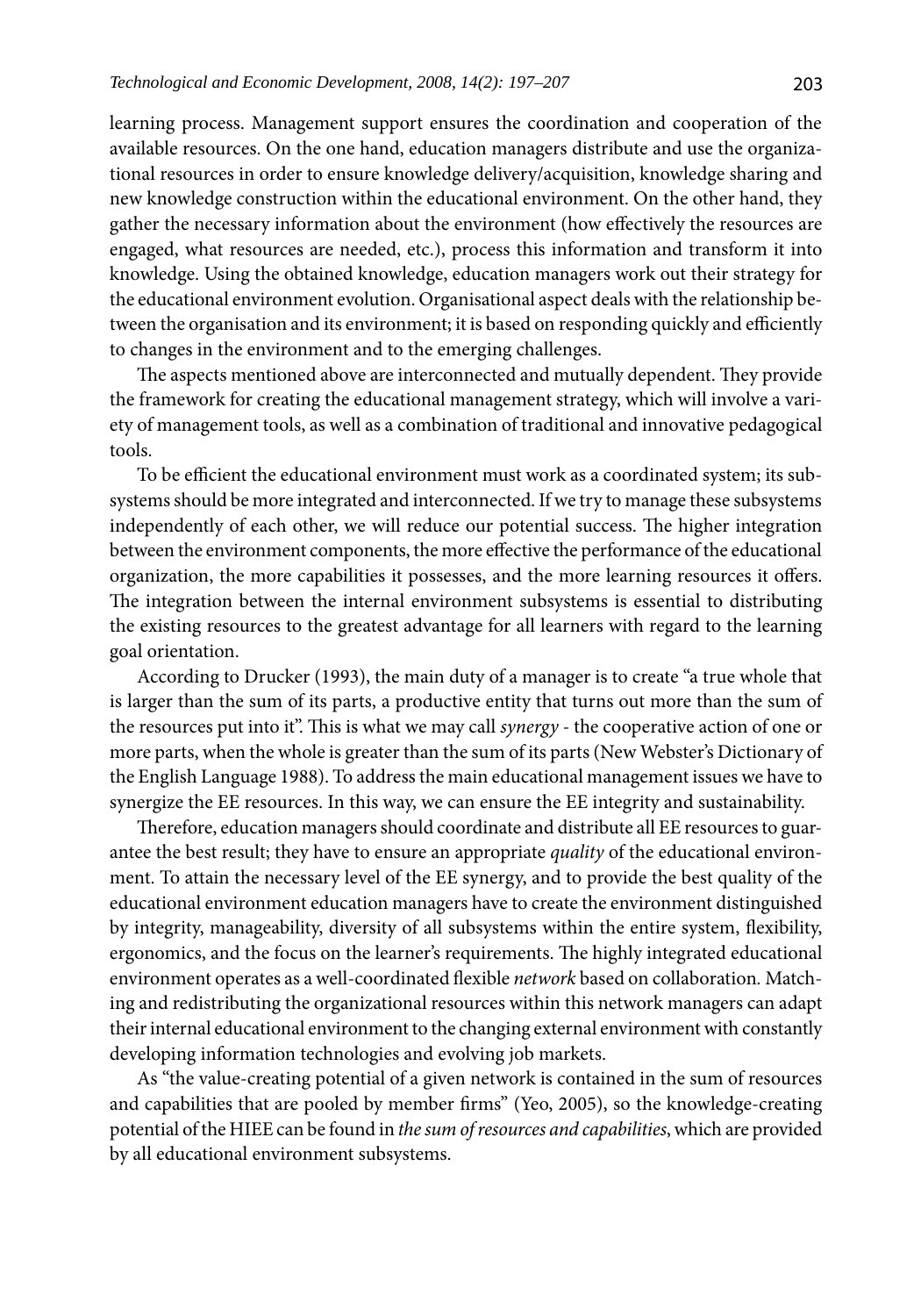learning process. Management support ensures the coordination and cooperation of the available resources. On the one hand, education managers distribute and use the organizational resources in order to ensure knowledge delivery/acquisition, knowledge sharing and new knowledge construction within the educational environment. On the other hand, they gather the necessary information about the environment (how effectively the resources are engaged, what resources are needed, etc.), process this information and transform it into knowledge. Using the obtained knowledge, education managers work out their strategy for the educational environment evolution. Organisational aspect deals with the relationship between the organisation and its environment; it is based on responding quickly and efficiently to changes in the environment and to the emerging challenges.

The aspects mentioned above are interconnected and mutually dependent. They provide the framework for creating the educational management strategy, which will involve a variety of management tools, as well as a combination of traditional and innovative pedagogical tools.

To be efficient the educational environment must work as a coordinated system; its subsystems should be more integrated and interconnected. If we try to manage these subsystems independently of each other, we will reduce our potential success. The higher integration between the environment components, the more effective the performance of the educational organization, the more capabilities it possesses, and the more learning resources it offers. The integration between the internal environment subsystems is essential to distributing the existing resources to the greatest advantage for all learners with regard to the learning goal orientation.

According to Drucker (1993), the main duty of a manager is to create "a true whole that is larger than the sum of its parts, a productive entity that turns out more than the sum of the resources put into it". This is what we may call *synergy -* the cooperative action of one or more parts, when the whole is greater than the sum of its parts (New Webster's Dictionary of the English Language 1988). To address the main educational management issues we have to synergize the EE resources. In this way, we can ensure the EE integrity and sustainability.

Therefore, education managers should coordinate and distribute all EE resources to guarantee the best result; they have to ensure an appropriate *quality* of the educational environment. To attain the necessary level of the EE synergy, and to provide the best quality of the educational environment education managers have to create the environment distinguished by integrity, manageability, diversity of all subsystems within the entire system, flexibility, ergonomics, and the focus on the learner's requirements. The highly integrated educational environment operates as a well-coordinated flexible *network* based on collaboration*.* Matching and redistributing the organizational resources within this network managers can adapt their internal educational environment to the changing external environment with constantly developing information technologies and evolving job markets.

As "the value-creating potential of a given network is contained in the sum of resources and capabilities that are pooled by member firms" (Yeo, 2005), so the knowledge-creating potential of the HIEE can be found in *the sum of resources and capabilities*, which are provided by all educational environment subsystems.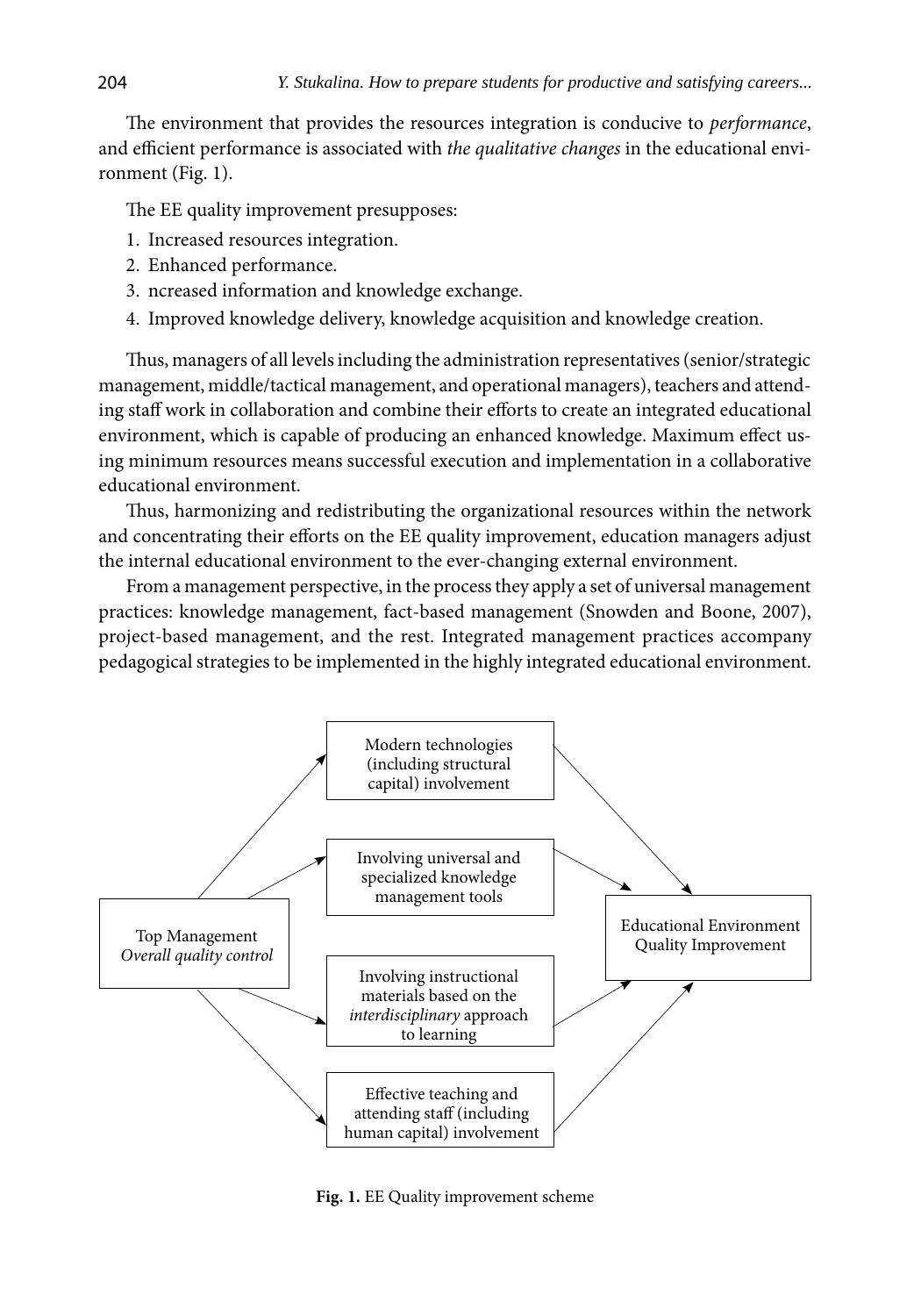The environment that provides the resources integration is conducive to *performance*, and efficient performance is associated with *the qualitative changes* in the educational environment (Fig. 1).

The EE quality improvement presupposes:

- 1. Increased resources integration.
- 2. Enhanced performance.
- 3. ncreased information and knowledge exchange.
- 4. Improved knowledge delivery, knowledge acquisition and knowledge creation.

Thus, managers of all levels including the administration representatives (senior/strategic management, middle/tactical management, and operational managers), teachers and attending staff work in collaboration and combine their efforts to create an integrated educational environment, which is capable of producing an enhanced knowledge. Maximum effect using minimum resources means successful execution and implementation in a collaborative educational environment.

Thus, harmonizing and redistributing the organizational resources within the network and concentrating their efforts on the EE quality improvement, education managers adjust the internal educational environment to the ever-changing external environment.

From a management perspective, in the process they apply a set of universal management practices: knowledge management, fact-based management (Snowden and Boone, 2007), project-based management, and the rest. Integrated management practices accompany pedagogical strategies to be implemented in the highly integrated educational environment.



**Fig. 1.** EE Quality improvement scheme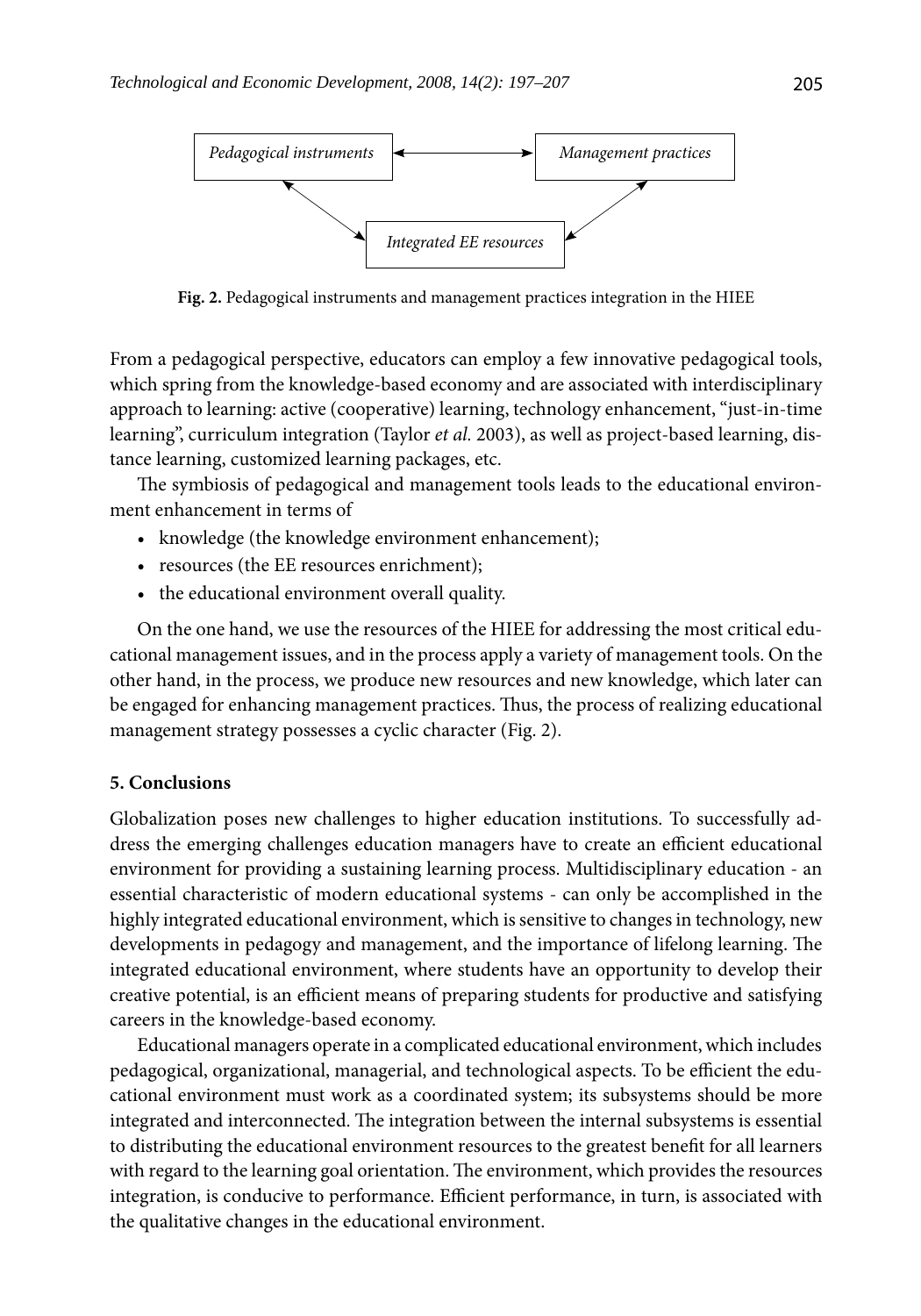

**Fig. 2.** Pedagogical instruments and management practices integration in the HIEE

From a pedagogical perspective, educators can employ a few innovative pedagogical tools, which spring from the knowledge-based economy and are associated with interdisciplinary approach to learning: active (cooperative) learning, technology enhancement, "just-in-time learning", curriculum integration (Taylor *et al.* 2003), as well as project-based learning, distance learning, customized learning packages, etc.

The symbiosis of pedagogical and management tools leads to the educational environment enhancement in terms of

- knowledge (the knowledge environment enhancement);
- resources (the EE resources enrichment);
- the educational environment overall quality.

On the one hand, we use the resources of the HIEE for addressing the most critical educational management issues, and in the process apply a variety of management tools. On the other hand, in the process, we produce new resources and new knowledge, which later can be engaged for enhancing management practices. Thus, the process of realizing educational management strategy possesses a cyclic character (Fig. 2).

### **5. Conclusions**

Globalization poses new challenges to higher education institutions. To successfully address the emerging challenges education managers have to create an efficient educational environment for providing a sustaining learning process. Multidisciplinary education - an essential characteristic of modern educational systems - can only be accomplished in the highly integrated educational environment, which is sensitive to changes in technology, new developments in pedagogy and management, and the importance of lifelong learning. The integrated educational environment, where students have an opportunity to develop their creative potential, is an efficient means of preparing students for productive and satisfying careers in the knowledge-based economy.

Educational managers operate in a complicated educational environment, which includes pedagogical, organizational, managerial, and technological aspects. To be efficient the educational environment must work as a coordinated system; its subsystems should be more integrated and interconnected. The integration between the internal subsystems is essential to distributing the educational environment resources to the greatest benefit for all learners with regard to the learning goal orientation. The environment, which provides the resources integration, is conducive to performance. Efficient performance, in turn, is associated with the qualitative changes in the educational environment.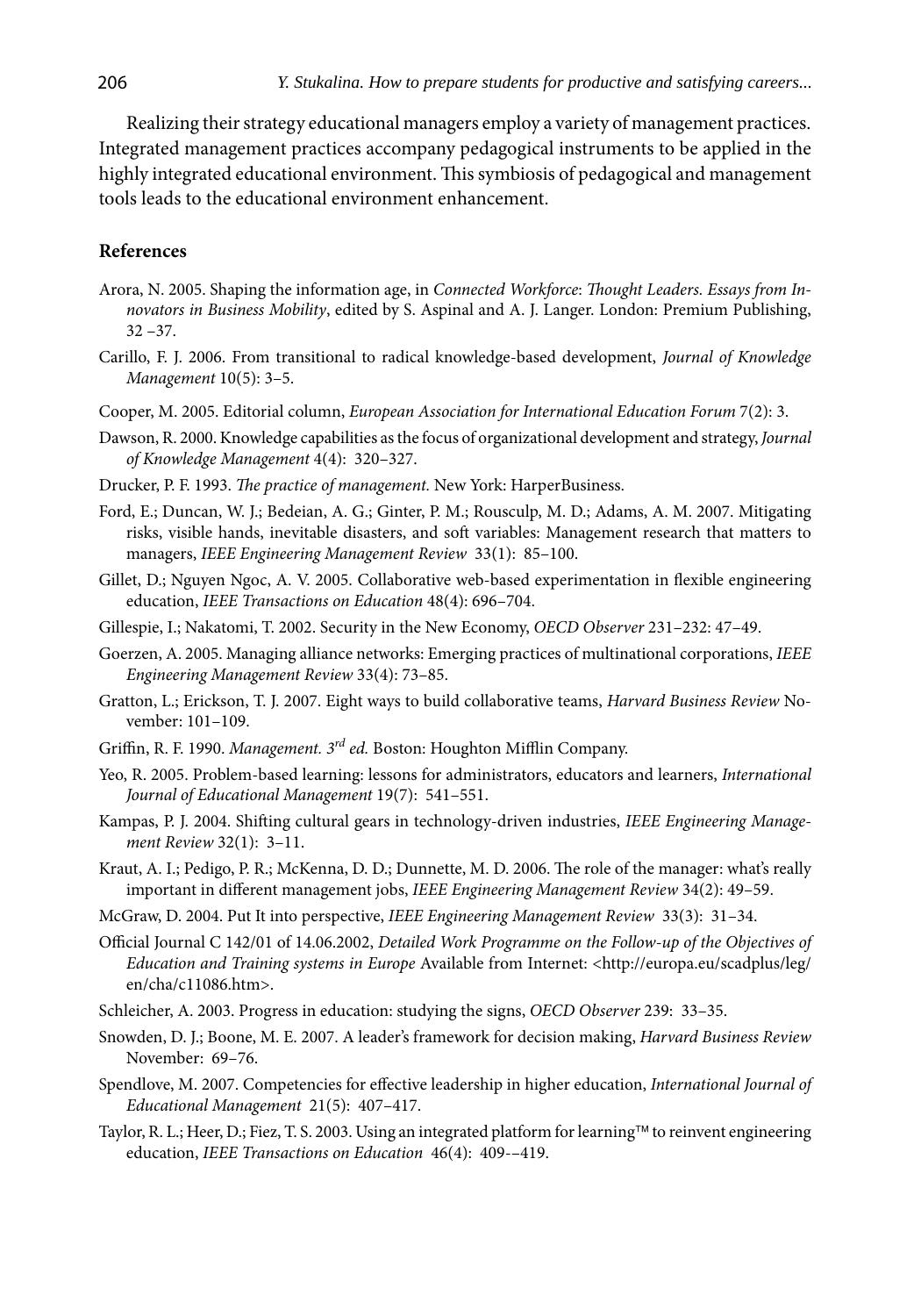Realizing their strategy educational managers employ a variety of management practices. Integrated management practices accompany pedagogical instruments to be applied in the highly integrated educational environment. This symbiosis of pedagogical and management tools leads to the educational environment enhancement.

### **References**

- Arora, N. 2005. Shaping the information age, in *Connected Workforce*: *Thought Leaders. Essays from Innovators in Business Mobility*, edited by S. Aspinal and A. J. Langer. London: Premium Publishing, 32 –37.
- Carillo, F. J. 2006. From transitional to radical knowledge-based development, *Journal of Knowledge Management* 10(5): 3–5.
- Cooper, M. 2005. Editorial column, *European Association for International Education Forum* 7(2): 3.
- Dawson, R. 2000. Knowledge capabilities as the focus of organizational development and strategy, *Journal of Knowledge Management* 4(4): 320–327.
- Drucker, P. F. 1993. *The practice of management.* New York: HarperBusiness.
- Ford, E.; Duncan, W. J.; Bedeian, A. G.; Ginter, P. M.; Rousculp, M. D.; Adams, A. M. 2007. Mitigating risks, visible hands, inevitable disasters, and soft variables: Management research that matters to managers, *IEEE Engineering Management Review* 33(1): 85–100.
- Gillet, D.; Nguyen Ngoc, A. V. 2005. Collaborative web-based experimentation in flexible engineering education, *IEEE Transactions on Education* 48(4): 696–704.
- Gillespie, I.; Nakatomi, T. 2002. Security in the New Economy, *OECD Observer* 231–232: 47–49.
- Goerzen, A. 2005. Managing alliance networks: Emerging practices of multinational corporations, *IEEE Engineering Management Review* 33(4): 73–85.
- Gratton, L.; Erickson, T. J. 2007. Eight ways to build collaborative teams, *Harvard Business Review* November: 101–109.
- Griffin, R. F. 1990. *Management. 3rd ed.* Boston: Houghton Mifflin Company.
- Yeo, R. 2005. Problem-based learning: lessons for administrators, educators and learners, *International Journal of Educational Management* 19(7): 541–551.
- Kampas, P. J. 2004. Shifting cultural gears in technology-driven industries, *IEEE Engineering Management Review* 32(1): 3–11.
- Kraut, A. I.; Pedigo, P. R.; McKenna, D. D.; Dunnette, M. D. 2006. The role of the manager: what's really important in different management jobs, *IEEE Engineering Management Review* 34(2): 49–59.
- McGraw, D. 2004. Put It into perspective, *IEEE Engineering Management Review* 33(3): 31–34.
- Official Journal C 142/01 of 14.06.2002, *Detailed Work Programme on the Follow-up of the Objectives of Education and Training systems in Europe* Available from Internet: <http://europa.eu/scadplus/leg/ en/cha/c11086.htm>.
- Schleicher, A. 2003. Progress in education: studying the signs, *OECD Observer* 239: 33–35.
- Snowden, D. J.; Boone, M. E. 2007. A leader's framework for decision making, *Harvard Business Review* November: 69–76.
- Spendlove, M. 2007. Competencies for effective leadership in higher education, *International Journal of Educational Management* 21(5): 407–417.
- Taylor, R. L.; Heer, D.; Fiez, T. S. 2003. Using an integrated platform for learning™ to reinvent engineering education, *IEEE Transactions on Education* 46(4): 409-–419.